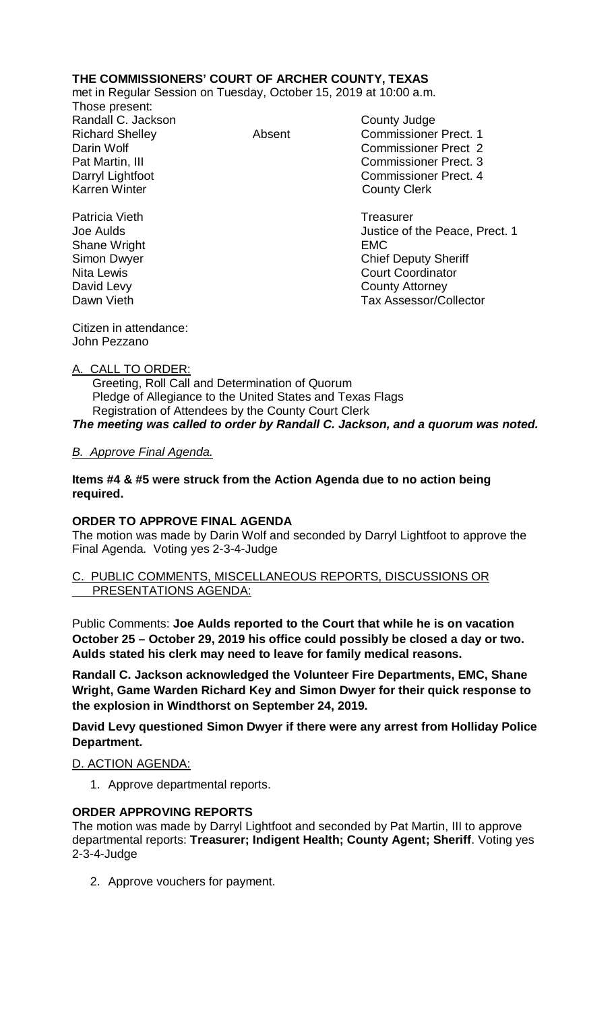# **THE COMMISSIONERS' COURT OF ARCHER COUNTY, TEXAS**

met in Regular Session on Tuesday, October 15, 2019 at 10:00 a.m.

Those present: Randall C. Jackson County Judge

Richard Shelley **Absent** Commissioner Prect. 1 Darin Wolf Commissioner Prect 2 Pat Martin, III Commissioner Prect. 3 Darryl Lightfoot **Commissioner Prect. 4**<br>
Karren Winter **County County Clerk County Clerk** 

Patricia Vieth **Treasurer** Treasurer Joe Aulds Justice of the Peace, Prect. 1 Shane Wright **EMC** Simon Dwyer Chief Deputy Sheriff Nita Lewis **Court Coordinator** Court Coordinator David Levy **County Attorney** Dawn Vieth **Dawn Vieth Tax Assessor/Collector** 

Citizen in attendance: John Pezzano

## A. CALL TO ORDER:

 Greeting, Roll Call and Determination of Quorum Pledge of Allegiance to the United States and Texas Flags Registration of Attendees by the County Court Clerk *The meeting was called to order by Randall C. Jackson, and a quorum was noted.*

# *B. Approve Final Agenda.*

**Items #4 & #5 were struck from the Action Agenda due to no action being required.**

## **ORDER TO APPROVE FINAL AGENDA**

The motion was made by Darin Wolf and seconded by Darryl Lightfoot to approve the Final Agenda. Voting yes 2-3-4-Judge

### C. PUBLIC COMMENTS, MISCELLANEOUS REPORTS, DISCUSSIONS OR PRESENTATIONS AGENDA:

Public Comments: **Joe Aulds reported to the Court that while he is on vacation October 25 – October 29, 2019 his office could possibly be closed a day or two. Aulds stated his clerk may need to leave for family medical reasons.**

**Randall C. Jackson acknowledged the Volunteer Fire Departments, EMC, Shane Wright, Game Warden Richard Key and Simon Dwyer for their quick response to the explosion in Windthorst on September 24, 2019.**

**David Levy questioned Simon Dwyer if there were any arrest from Holliday Police Department.**

## D. ACTION AGENDA:

1. Approve departmental reports.

## **ORDER APPROVING REPORTS**

The motion was made by Darryl Lightfoot and seconded by Pat Martin, III to approve departmental reports: **Treasurer; Indigent Health; County Agent; Sheriff**. Voting yes 2-3-4-Judge

2. Approve vouchers for payment.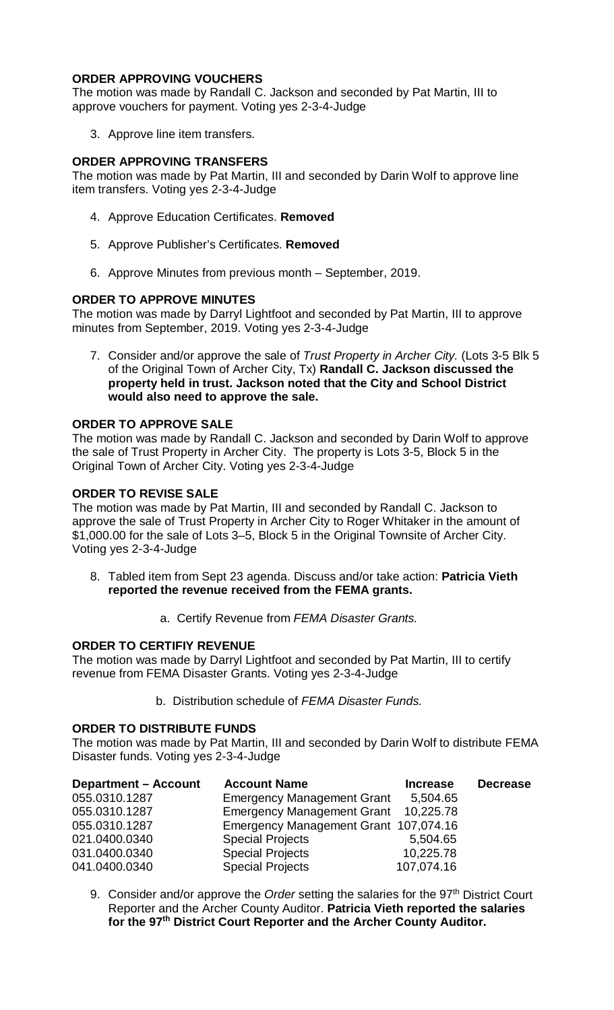## **ORDER APPROVING VOUCHERS**

The motion was made by Randall C. Jackson and seconded by Pat Martin, III to approve vouchers for payment. Voting yes 2-3-4-Judge

3. Approve line item transfers.

## **ORDER APPROVING TRANSFERS**

The motion was made by Pat Martin, III and seconded by Darin Wolf to approve line item transfers. Voting yes 2-3-4-Judge

- 4. Approve Education Certificates. **Removed**
- 5. Approve Publisher's Certificates. **Removed**
- 6. Approve Minutes from previous month September, 2019.

### **ORDER TO APPROVE MINUTES**

The motion was made by Darryl Lightfoot and seconded by Pat Martin, III to approve minutes from September, 2019. Voting yes 2-3-4-Judge

7. Consider and/or approve the sale of *Trust Property in Archer City.* (Lots 3-5 Blk 5 of the Original Town of Archer City, Tx) **Randall C. Jackson discussed the property held in trust. Jackson noted that the City and School District would also need to approve the sale.**

### **ORDER TO APPROVE SALE**

The motion was made by Randall C. Jackson and seconded by Darin Wolf to approve the sale of Trust Property in Archer City. The property is Lots 3-5, Block 5 in the Original Town of Archer City. Voting yes 2-3-4-Judge

## **ORDER TO REVISE SALE**

The motion was made by Pat Martin, III and seconded by Randall C. Jackson to approve the sale of Trust Property in Archer City to Roger Whitaker in the amount of \$1,000.00 for the sale of Lots 3–5, Block 5 in the Original Townsite of Archer City. Voting yes 2-3-4-Judge

- 8. Tabled item from Sept 23 agenda. Discuss and/or take action: **Patricia Vieth reported the revenue received from the FEMA grants.**
	- a. Certify Revenue from *FEMA Disaster Grants.*

#### **ORDER TO CERTIFIY REVENUE**

The motion was made by Darryl Lightfoot and seconded by Pat Martin, III to certify revenue from FEMA Disaster Grants. Voting yes 2-3-4-Judge

b. Distribution schedule of *FEMA Disaster Funds.*

#### **ORDER TO DISTRIBUTE FUNDS**

The motion was made by Pat Martin, III and seconded by Darin Wolf to distribute FEMA Disaster funds. Voting yes 2-3-4-Judge

| <b>Department – Account</b> | <b>Account Name</b>                   | <b>Increase</b> | <b>Decrease</b> |
|-----------------------------|---------------------------------------|-----------------|-----------------|
| 055.0310.1287               | <b>Emergency Management Grant</b>     | 5,504.65        |                 |
| 055.0310.1287               | <b>Emergency Management Grant</b>     | 10,225.78       |                 |
| 055.0310.1287               | Emergency Management Grant 107,074.16 |                 |                 |
| 021.0400.0340               | <b>Special Projects</b>               | 5,504.65        |                 |
| 031.0400.0340               | <b>Special Projects</b>               | 10,225.78       |                 |
| 041.0400.0340               | <b>Special Projects</b>               | 107,074.16      |                 |

9. Consider and/or approve the *Order* setting the salaries for the 97<sup>th</sup> District Court Reporter and the Archer County Auditor. **Patricia Vieth reported the salaries for the 97th District Court Reporter and the Archer County Auditor.**